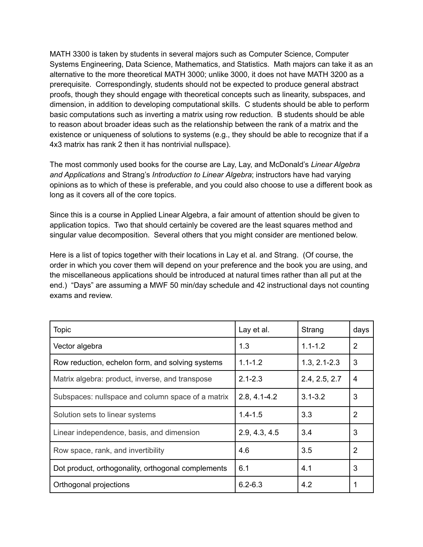MATH 3300 is taken by students in several majors such as Computer Science, Computer Systems Engineering, Data Science, Mathematics, and Statistics. Math majors can take it as an alternative to the more theoretical MATH 3000; unlike 3000, it does not have MATH 3200 as a prerequisite. Correspondingly, students should not be expected to produce general abstract proofs, though they should engage with theoretical concepts such as linearity, subspaces, and dimension, in addition to developing computational skills. C students should be able to perform basic computations such as inverting a matrix using row reduction. B students should be able to reason about broader ideas such as the relationship between the rank of a matrix and the existence or uniqueness of solutions to systems (e.g., they should be able to recognize that if a 4x3 matrix has rank 2 then it has nontrivial nullspace).

The most commonly used books for the course are Lay, Lay, and McDonald's *Linear Algebra and Applications* and Strang's *Introduction to Linear Algebra*; instructors have had varying opinions as to which of these is preferable, and you could also choose to use a different book as long as it covers all of the core topics.

Since this is a course in Applied Linear Algebra, a fair amount of attention should be given to application topics. Two that should certainly be covered are the least squares method and singular value decomposition. Several others that you might consider are mentioned below.

Here is a list of topics together with their locations in Lay et al. and Strang. (Of course, the order in which you cover them will depend on your preference and the book you are using, and the miscellaneous applications should be introduced at natural times rather than all put at the end.) "Days" are assuming a MWF 50 min/day schedule and 42 instructional days not counting exams and review.

| <b>Topic</b>                                       | Lay et al.       | Strang           | days           |
|----------------------------------------------------|------------------|------------------|----------------|
| Vector algebra                                     | 1.3              | $1.1 - 1.2$      | $\overline{2}$ |
| Row reduction, echelon form, and solving systems   | $1.1 - 1.2$      | $1.3, 2.1 - 2.3$ | 3              |
| Matrix algebra: product, inverse, and transpose    | $2.1 - 2.3$      | 2.4, 2.5, 2.7    | $\overline{4}$ |
| Subspaces: nullspace and column space of a matrix  | $2.8, 4.1 - 4.2$ | $3.1 - 3.2$      | 3              |
| Solution sets to linear systems                    | $1.4 - 1.5$      | 3.3              | $\overline{2}$ |
| Linear independence, basis, and dimension          | 2.9, 4.3, 4.5    | 3.4              | 3              |
| Row space, rank, and invertibility                 | 4.6              | 3.5              | $\overline{2}$ |
| Dot product, orthogonality, orthogonal complements | 6.1              | 4.1              | 3              |
| Orthogonal projections                             | $6.2 - 6.3$      | 4.2              | 1              |